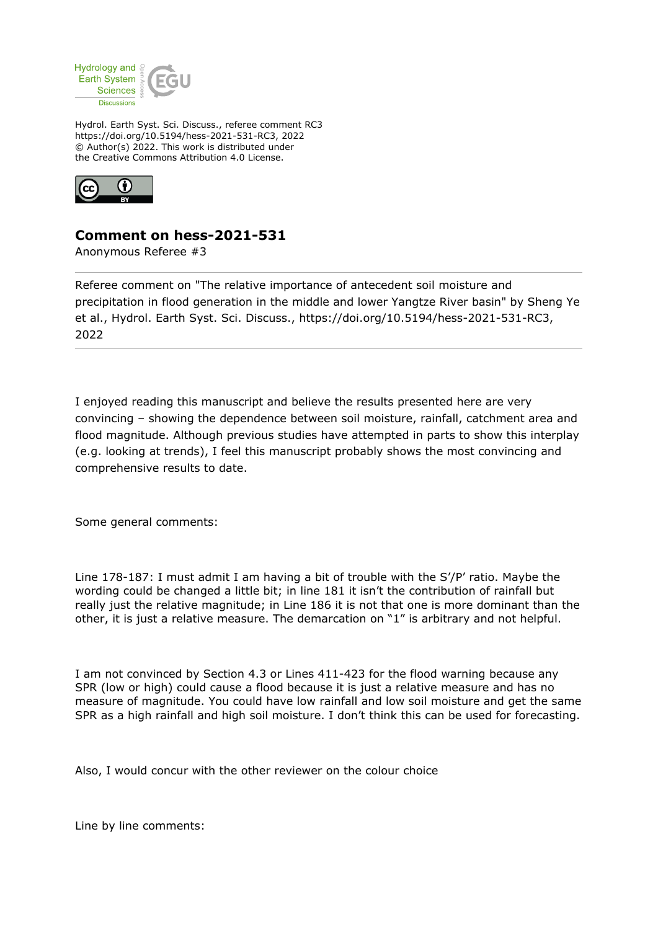

Hydrol. Earth Syst. Sci. Discuss., referee comment RC3 https://doi.org/10.5194/hess-2021-531-RC3, 2022 © Author(s) 2022. This work is distributed under the Creative Commons Attribution 4.0 License.



## **Comment on hess-2021-531**

Anonymous Referee #3

Referee comment on "The relative importance of antecedent soil moisture and precipitation in flood generation in the middle and lower Yangtze River basin" by Sheng Ye et al., Hydrol. Earth Syst. Sci. Discuss., https://doi.org/10.5194/hess-2021-531-RC3, 2022

I enjoyed reading this manuscript and believe the results presented here are very convincing – showing the dependence between soil moisture, rainfall, catchment area and flood magnitude. Although previous studies have attempted in parts to show this interplay (e.g. looking at trends), I feel this manuscript probably shows the most convincing and comprehensive results to date.

Some general comments:

Line 178-187: I must admit I am having a bit of trouble with the S'/P' ratio. Maybe the wording could be changed a little bit; in line 181 it isn't the contribution of rainfall but really just the relative magnitude; in Line 186 it is not that one is more dominant than the other, it is just a relative measure. The demarcation on "1" is arbitrary and not helpful.

I am not convinced by Section 4.3 or Lines 411-423 for the flood warning because any SPR (low or high) could cause a flood because it is just a relative measure and has no measure of magnitude. You could have low rainfall and low soil moisture and get the same SPR as a high rainfall and high soil moisture. I don't think this can be used for forecasting.

Also, I would concur with the other reviewer on the colour choice

Line by line comments: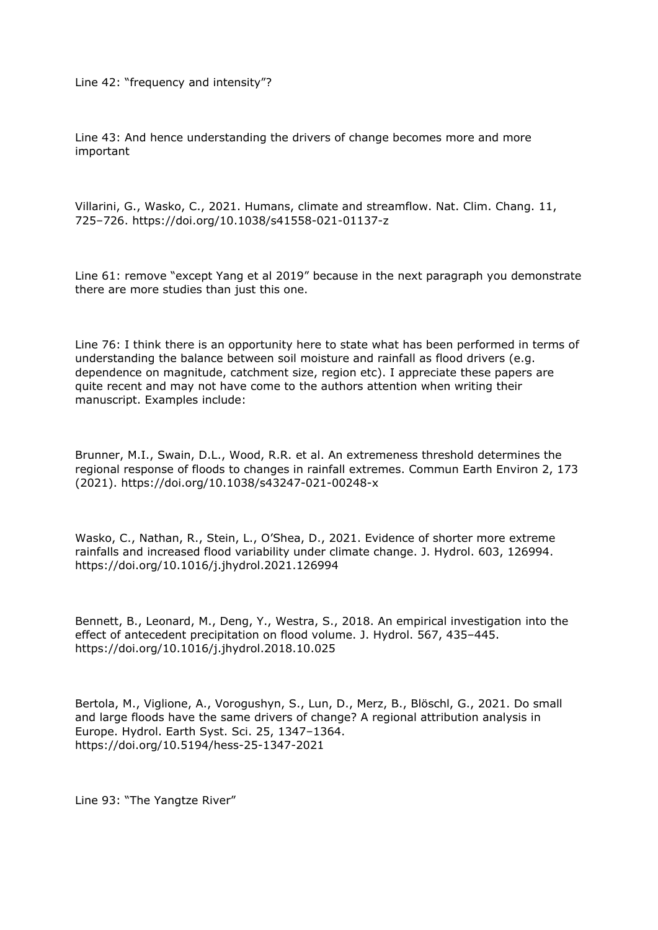Line 42: "frequency and intensity"?

Line 43: And hence understanding the drivers of change becomes more and more important

Villarini, G., Wasko, C., 2021. Humans, climate and streamflow. Nat. Clim. Chang. 11, 725–726. https://doi.org/10.1038/s41558-021-01137-z

Line 61: remove "except Yang et al 2019" because in the next paragraph you demonstrate there are more studies than just this one.

Line 76: I think there is an opportunity here to state what has been performed in terms of understanding the balance between soil moisture and rainfall as flood drivers (e.g. dependence on magnitude, catchment size, region etc). I appreciate these papers are quite recent and may not have come to the authors attention when writing their manuscript. Examples include:

Brunner, M.I., Swain, D.L., Wood, R.R. et al. An extremeness threshold determines the regional response of floods to changes in rainfall extremes. Commun Earth Environ 2, 173 (2021). https://doi.org/10.1038/s43247-021-00248-x

Wasko, C., Nathan, R., Stein, L., O'Shea, D., 2021. Evidence of shorter more extreme rainfalls and increased flood variability under climate change. J. Hydrol. 603, 126994. https://doi.org/10.1016/j.jhydrol.2021.126994

Bennett, B., Leonard, M., Deng, Y., Westra, S., 2018. An empirical investigation into the effect of antecedent precipitation on flood volume. J. Hydrol. 567, 435–445. https://doi.org/10.1016/j.jhydrol.2018.10.025

Bertola, M., Viglione, A., Vorogushyn, S., Lun, D., Merz, B., Blöschl, G., 2021. Do small and large floods have the same drivers of change? A regional attribution analysis in Europe. Hydrol. Earth Syst. Sci. 25, 1347–1364. https://doi.org/10.5194/hess-25-1347-2021

Line 93: "The Yangtze River"